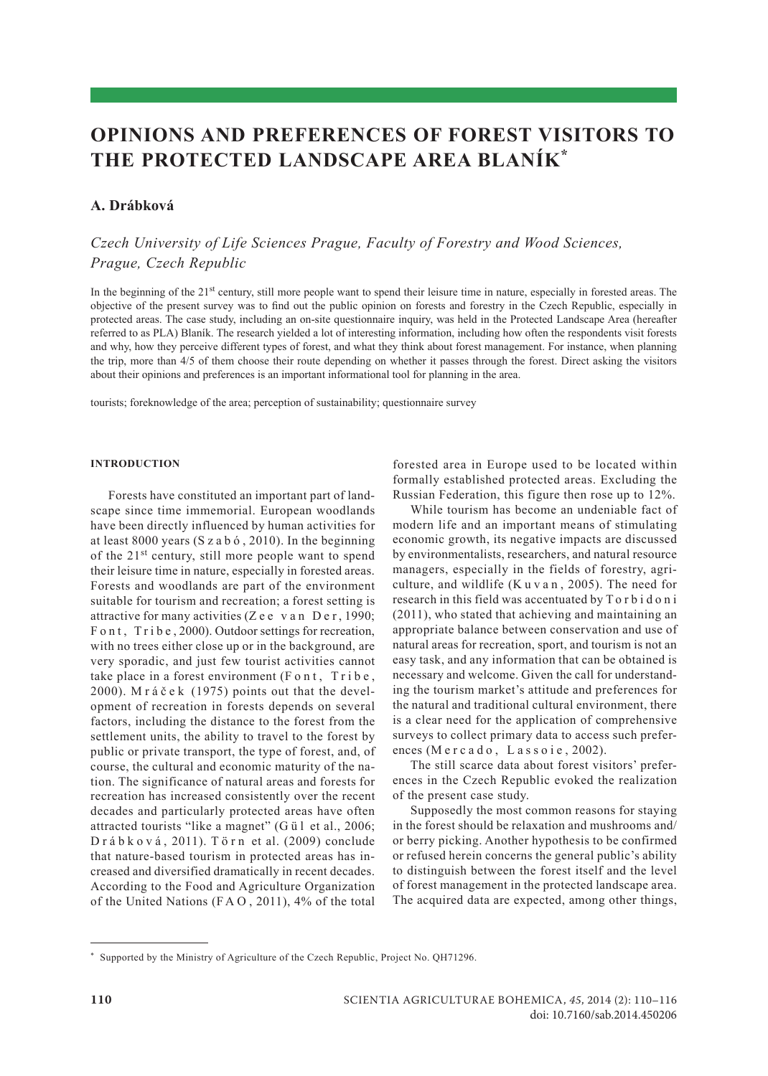# **OPINIONS AND PREFERENCES OF FOREST VISITORS TO THE PROTECTED LANDSCAPE AREA BLANÍK\***

# **A. Drábková**

# *Czech University of Life Sciences Prague, Faculty of Forestry and Wood Sciences, Prague, Czech Republic*

In the beginning of the 21st century, still more people want to spend their leisure time in nature, especially in forested areas. The objective of the present survey was to find out the public opinion on forests and forestry in the Czech Republic, especially in protected areas. The case study, including an on-site questionnaire inquiry, was held in the Protected Landscape Area (hereafter referred to as PLA) Blaník. The research yielded a lot of interesting information, including how often the respondents visit forests and why, how they perceive different types of forest, and what they think about forest management. For instance, when planning the trip, more than 4/5 of them choose their route depending on whether it passes through the forest. Direct asking the visitors about their opinions and preferences is an important informational tool for planning in the area.

tourists; foreknowledge of the area; perception of sustainability; questionnaire survey

#### **INTRODUCTION**

Forests have constituted an important part of landscape since time immemorial. European woodlands have been directly influenced by human activities for at least 8000 years (S z a b ó , 2010). In the beginning of the 21st century, still more people want to spend their leisure time in nature, especially in forested areas. Forests and woodlands are part of the environment suitable for tourism and recreation; a forest setting is attractive for many activities (Z e e v a n D e r, 1990; F o n t, T r i b e , 2000). Outdoor settings for recreation, with no trees either close up or in the background, are very sporadic, and just few tourist activities cannot take place in a forest environment  $(F \circ n t, T \circ i b e,$ 2000). M r á č e k (1975) points out that the development of recreation in forests depends on several factors, including the distance to the forest from the settlement units, the ability to travel to the forest by public or private transport, the type of forest, and, of course, the cultural and economic maturity of the nation. The significance of natural areas and forests for recreation has increased consistently over the recent decades and particularly protected areas have often attracted tourists "like a magnet" (G ü l et al., 2006; D r á b k o v á , 2011). T ö r n et al. (2009) conclude that nature-based tourism in protected areas has increased and diversified dramatically in recent decades. According to the Food and Agriculture Organization of the United Nations (F A O , 2011), 4% of the total

forested area in Europe used to be located within formally established protected areas. Excluding the Russian Federation, this figure then rose up to 12%.

While tourism has become an undeniable fact of modern life and an important means of stimulating economic growth, its negative impacts are discussed by environmentalists, researchers, and natural resource managers, especially in the fields of forestry, agriculture, and wildlife  $(K u v a n, 2005)$ . The need for research in this field was accentuated by T o r b i d o n i (2011), who stated that achieving and maintaining an appropriate balance between conservation and use of natural areas for recreation, sport, and tourism is not an easy task, and any information that can be obtained is necessary and welcome. Given the call for understanding the tourism market's attitude and preferences for the natural and traditional cultural environment, there is a clear need for the application of comprehensive surveys to collect primary data to access such preferences (Mercado, Lassoie, 2002).

The still scarce data about forest visitors' preferences in the Czech Republic evoked the realization of the present case study.

Supposedly the most common reasons for staying in the forest should be relaxation and mushrooms and/ or berry picking. Another hypothesis to be confirmed or refused herein concerns the general public's ability to distinguish between the forest itself and the level of forest management in the protected landscape area. The acquired data are expected, among other things,

<sup>\*</sup> Supported by the Ministry of Agriculture of the Czech Republic, Project No. QH71296.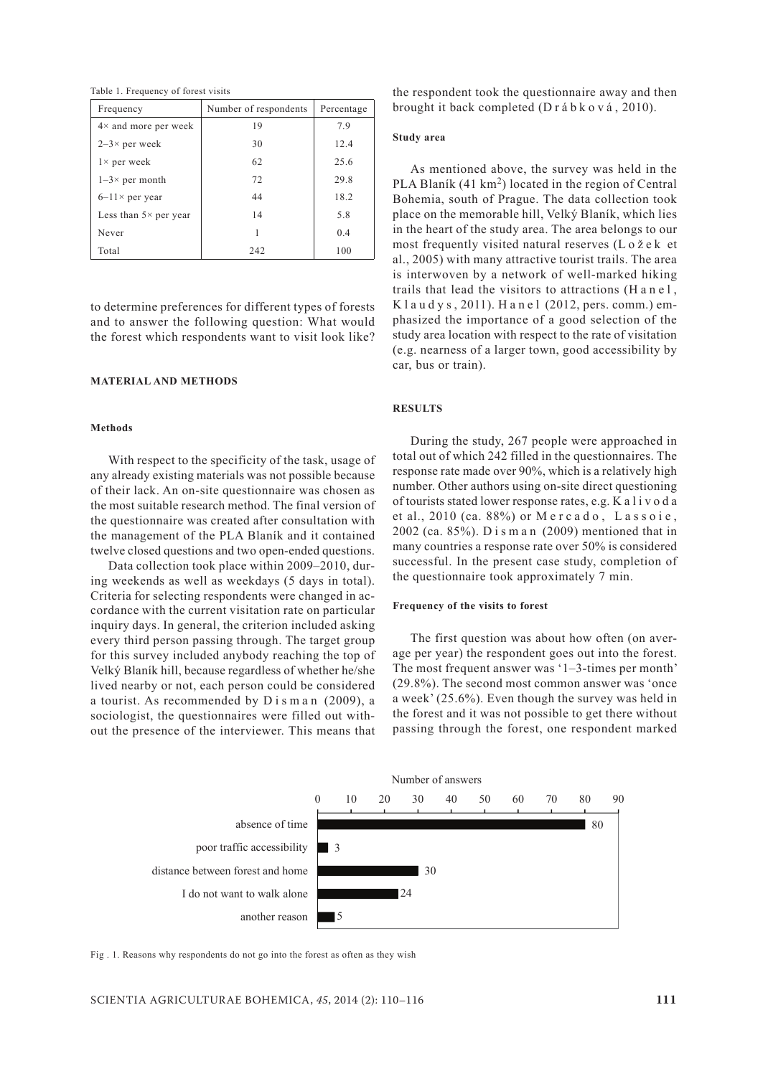Table 1. Frequency of forest visits

| Frequency                     | Number of respondents | Percentage |  |
|-------------------------------|-----------------------|------------|--|
| $4\times$ and more per week   | 19                    | 7.9        |  |
| $2-3\times$ per week          | 30                    | 12.4       |  |
| $1 \times$ per week           | 62                    | 25.6       |  |
| $1-3\times$ per month         | 72                    | 29.8       |  |
| $6-11\times$ per year         | 44                    | 18.2       |  |
| Less than $5 \times$ per year | 14                    | 5.8        |  |
| Never                         | 1                     | 0.4        |  |
| Total                         | 242                   | 100        |  |

to determine preferences for different types of forests and to answer the following question: What would the forest which respondents want to visit look like?

## **MATERIAL AND METHODS**

# **Methods**

With respect to the specificity of the task, usage of any already existing materials was not possible because of their lack. An on-site questionnaire was chosen as the most suitable research method. The final version of the questionnaire was created after consultation with the management of the PLA Blaník and it contained twelve closed questions and two open-ended questions.

Data collection took place within 2009–2010, during weekends as well as weekdays (5 days in total). Criteria for selecting respondents were changed in accordance with the current visitation rate on particular inquiry days. In general, the criterion included asking every third person passing through. The target group for this survey included anybody reaching the top of Velký Blaník hill, because regardless of whether he/she lived nearby or not, each person could be considered a tourist. As recommended by D i s m a n (2009), a sociologist, the questionnaires were filled out without the presence of the interviewer. This means that the respondent took the questionnaire away and then brought it back completed (D r á b k o v á , 2010).

#### **Study area**

As mentioned above, the survey was held in the PLA Blaník  $(41 \text{ km}^2)$  located in the region of Central Bohemia, south of Prague. The data collection took place on the memorable hill, Velký Blaník, which lies in the heart of the study area. The area belongs to our most frequently visited natural reserves (L o ž e k et al., 2005) with many attractive tourist trails. The area is interwoven by a network of well-marked hiking trails that lead the visitors to attractions (H a n e l , K l a u d y s,  $2011$ ). H a n e l  $(2012, \text{pers. comm.})$  emphasized the importance of a good selection of the study area location with respect to the rate of visitation (e.g. nearness of a larger town, good accessibility by car, bus or train).

## **RESULTS**

During the study, 267 people were approached in total out of which 242 filled in the questionnaires. The response rate made over 90%, which is a relatively high number. Other authors using on-site direct questioning of tourists stated lower response rates, e.g. K a l i v o d a et al.,  $2010$  (ca.  $88\%$ ) or Mercado, Lassoie, 2002 (ca. 85%). D i s m a n (2009) mentioned that in many countries a response rate over 50% is considered successful. In the present case study, completion of the questionnaire took approximately 7 min.

# **Frequency of the visits to forest**

The first question was about how often (on average per year) the respondent goes out into the forest. The most frequent answer was '1–3-times per month' (29.8%). The second most common answer was 'once a week' (25.6%). Even though the survey was held in the forest and it was not possible to get there without passing through the forest, one respondent marked



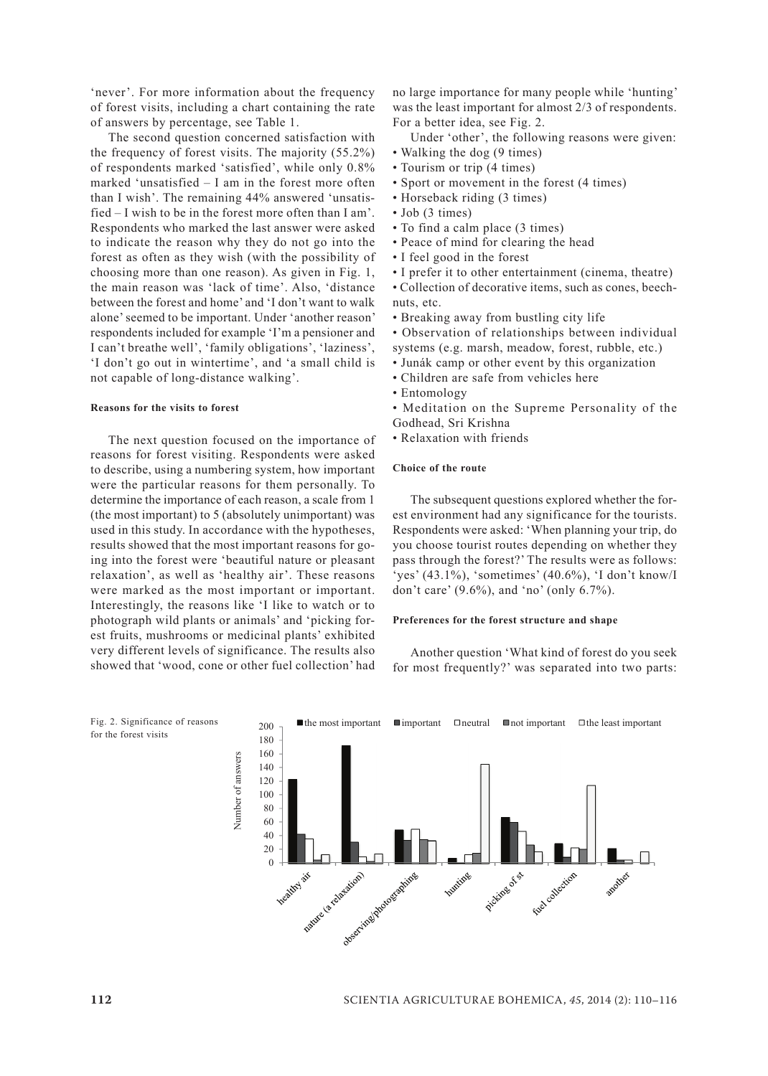'never'. For more information about the frequency of forest visits, including a chart containing the rate of answers by percentage, see Table 1.

The second question concerned satisfaction with the frequency of forest visits. The majority (55.2%) of respondents marked 'satisfied', while only 0.8% marked 'unsatisfied – I am in the forest more often than I wish'. The remaining 44% answered 'unsatisfied – I wish to be in the forest more often than I am'. Respondents who marked the last answer were asked to indicate the reason why they do not go into the forest as often as they wish (with the possibility of choosing more than one reason). As given in Fig. 1, the main reason was 'lack of time'. Also, 'distance between the forest and home' and 'I don't want to walk alone' seemed to be important. Under 'another reason' respondents included for example 'I'm a pensioner and I can't breathe well', 'family obligations', 'laziness', 'I don't go out in wintertime', and 'a small child is not capable of long-distance walking'.

#### **Reasons for the visits to forest**

The next question focused on the importance of reasons for forest visiting. Respondents were asked to describe, using a numbering system, how important were the particular reasons for them personally. To determine the importance of each reason, a scale from 1 (the most important) to 5 (absolutely unimportant) was used in this study. In accordance with the hypotheses, results showed that the most important reasons for going into the forest were 'beautiful nature or pleasant relaxation', as well as 'healthy air'. These reasons were marked as the most important or important. Interestingly, the reasons like 'I like to watch or to photograph wild plants or animals' and 'picking forest fruits, mushrooms or medicinal plants' exhibited very different levels of significance. The results also showed that 'wood, cone or other fuel collection' had

no large importance for many people while 'hunting' was the least important for almost 2/3 of respondents. For a better idea, see Fig. 2.

Under 'other', the following reasons were given:

- Walking the dog (9 times)
- Tourism or trip (4 times)
- Sport or movement in the forest (4 times)
- Horseback riding (3 times)
- Job (3 times)
- To find a calm place (3 times)
- Peace of mind for clearing the head
- I feel good in the forest
- I prefer it to other entertainment (cinema, theatre)
- Collection of decorative items, such as cones, beechnuts, etc.
- Breaking away from bustling city life
- Observation of relationships between individual systems (e.g. marsh, meadow, forest, rubble, etc.)
- Junák camp or other event by this organization
- Children are safe from vehicles here
- Entomology
- Meditation on the Supreme Personality of the Godhead, Sri Krishna
- Relaxation with friends

#### **Choice of the route**

The subsequent questions explored whether the forest environment had any significance for the tourists. Respondents were asked: 'When planning your trip, do you choose tourist routes depending on whether they pass through the forest?' The results were as follows: 'yes' (43.1%), 'sometimes' (40.6%), 'I don't know/I don't care' (9.6%), and 'no' (only 6.7%).

#### **Preferences for the forest structure and shape**

Another question 'What kind of forest do you seek for most frequently?' was separated into two parts:

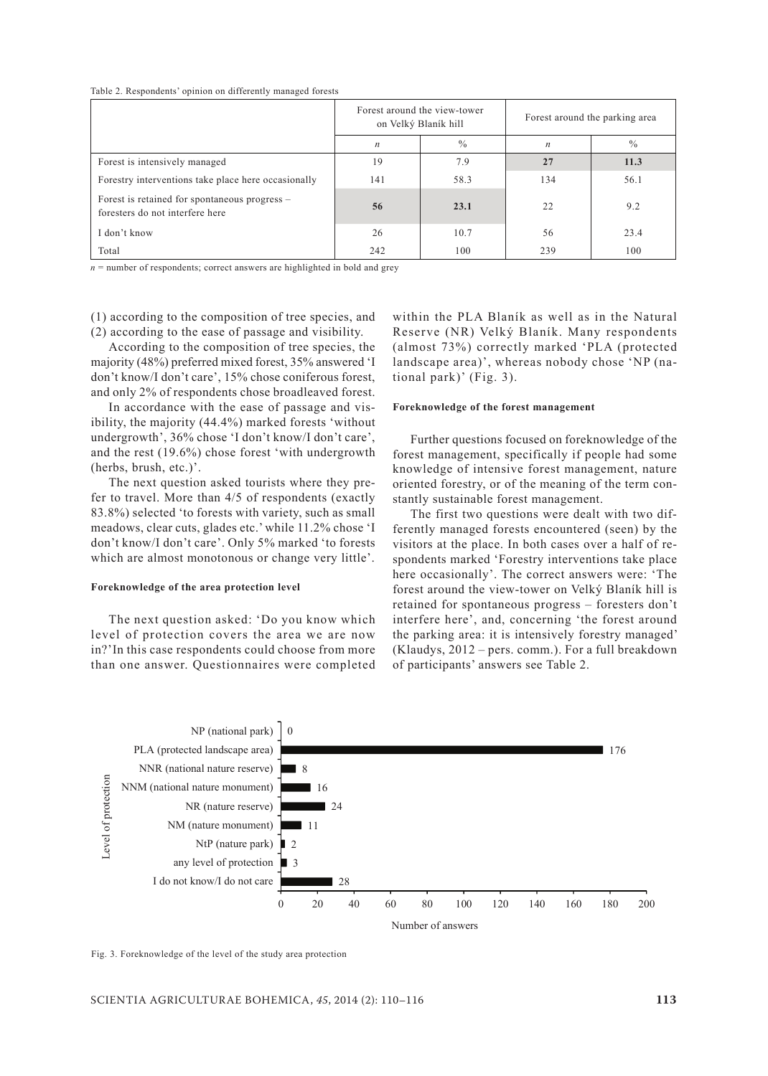Table 2. Respondents' opinion on differently managed forests

|                                                                                  | Forest around the view-tower<br>on Velký Blaník hill |               | Forest around the parking area |      |
|----------------------------------------------------------------------------------|------------------------------------------------------|---------------|--------------------------------|------|
|                                                                                  | $\boldsymbol{n}$                                     | $\frac{0}{0}$ | $\boldsymbol{n}$               | $\%$ |
| Forest is intensively managed                                                    | 19                                                   | 7.9           | 27                             | 11.3 |
| Forestry interventions take place here occasionally                              | 141                                                  | 58.3          | 134                            | 56.1 |
| Forest is retained for spontaneous progress –<br>foresters do not interfere here | 56                                                   | 23.1          | 22                             | 9.2  |
| I don't know                                                                     | 26                                                   | 10.7          | 56                             | 23.4 |
| Total                                                                            | 242                                                  | 100           | 239                            | 100  |

 $n =$  number of respondents; correct answers are highlighted in bold and grey

(1) according to the composition of tree species, and (2) according to the ease of passage and visibility.

According to the composition of tree species, the majority (48%) preferred mixed forest, 35% answered 'I don't know/I don't care', 15% chose coniferous forest, and only 2% of respondents chose broadleaved forest.

In accordance with the ease of passage and visibility, the majority (44.4%) marked forests 'without undergrowth', 36% chose 'I don't know/I don't care', and the rest (19.6%) chose forest 'with undergrowth (herbs, brush, etc.)'.

The next question asked tourists where they prefer to travel. More than 4/5 of respondents (exactly 83.8%) selected 'to forests with variety, such as small meadows, clear cuts, glades etc.' while 11.2% chose 'I don't know/I don't care'. Only 5% marked 'to forests which are almost monotonous or change very little'.

#### **Foreknowledge of the area protection level**

The next question asked: 'Do you know which level of protection covers the area we are now in?'In this case respondents could choose from more than one answer. Questionnaires were completed within the PLA Blaník as well as in the Natural Reserve (NR) Velký Blaník. Many respondents (almost 73%) correctly marked 'PLA (protected landscape area)', whereas nobody chose 'NP (national park)' (Fig. 3).

#### **Foreknowledge of the forest management**

Further questions focused on foreknowledge of the forest management, specifically if people had some knowledge of intensive forest management, nature oriented forestry, or of the meaning of the term constantly sustainable forest management.

The first two questions were dealt with two differently managed forests encountered (seen) by the visitors at the place. In both cases over a half of respondents marked 'Forestry interventions take place here occasionally'. The correct answers were: 'The forest around the view-tower on Velký Blaník hill is retained for spontaneous progress – foresters don't interfere here', and, concerning 'the forest around the parking area: it is intensively forestry managed' (Klaudys, 2012 – pers. comm.). For a full breakdown of participants' answers see Table 2.



Fig. 3. Foreknowledge of the level of the study area protection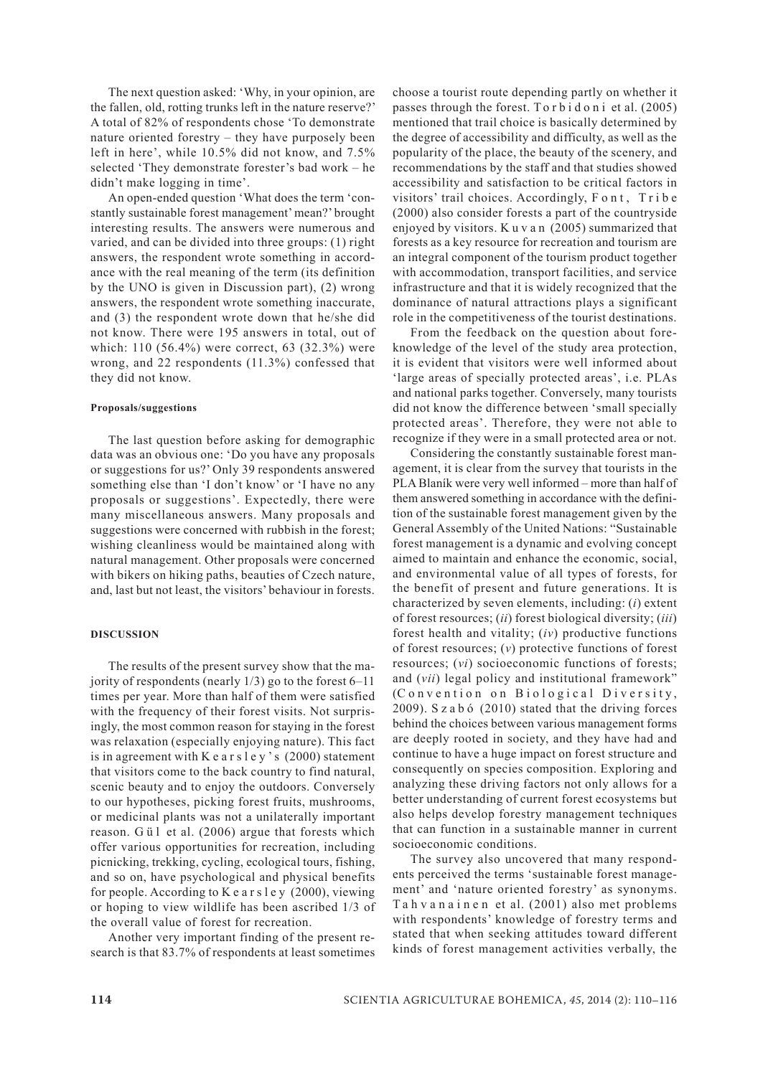The next question asked: 'Why, in your opinion, are the fallen, old, rotting trunks left in the nature reserve?' A total of 82% of respondents chose 'To demonstrate nature oriented forestry – they have purposely been left in here', while 10.5% did not know, and 7.5% selected 'They demonstrate forester's bad work – he didn't make logging in time'.

An open-ended question 'What does the term 'constantly sustainable forest management' mean?' brought interesting results. The answers were numerous and varied, and can be divided into three groups: (1) right answers, the respondent wrote something in accordance with the real meaning of the term (its definition by the UNO is given in Discussion part), (2) wrong answers, the respondent wrote something inaccurate, and (3) the respondent wrote down that he/she did not know. There were 195 answers in total, out of which: 110 (56.4%) were correct, 63 (32.3%) were wrong, and 22 respondents (11.3%) confessed that they did not know.

#### **Proposals/suggestions**

The last question before asking for demographic data was an obvious one: 'Do you have any proposals or suggestions for us?' Only 39 respondents answered something else than 'I don't know' or 'I have no any proposals or suggestions'. Expectedly, there were many miscellaneous answers. Many proposals and suggestions were concerned with rubbish in the forest; wishing cleanliness would be maintained along with natural management. Other proposals were concerned with bikers on hiking paths, beauties of Czech nature, and, last but not least, the visitors' behaviour in forests.

#### **DISCUSSION**

The results of the present survey show that the majority of respondents (nearly 1/3) go to the forest 6–11 times per year. More than half of them were satisfied with the frequency of their forest visits. Not surprisingly, the most common reason for staying in the forest was relaxation (especially enjoying nature). This fact is in agreement with K e a r s  $\lg v$  ' s (2000) statement that visitors come to the back country to find natural, scenic beauty and to enjoy the outdoors. Conversely to our hypotheses, picking forest fruits, mushrooms, or medicinal plants was not a unilaterally important reason. G ü l et al. (2006) argue that forests which offer various opportunities for recreation, including picnicking, trekking, cycling, ecological tours, fishing, and so on, have psychological and physical benefits for people. According to K e a r s l e y  $(2000)$ , viewing or hoping to view wildlife has been ascribed 1/3 of the overall value of forest for recreation.

Another very important finding of the present research is that 83.7% of respondents at least sometimes

choose a tourist route depending partly on whether it passes through the forest. T o r b i d o n i et al. (2005) mentioned that trail choice is basically determined by the degree of accessibility and difficulty, as well as the popularity of the place, the beauty of the scenery, and recommendations by the staff and that studies showed accessibility and satisfaction to be critical factors in visitors' trail choices. Accordingly, F o n t, T r i b e (2000) also consider forests a part of the countryside enjoyed by visitors. K u v a n (2005) summarized that forests as a key resource for recreation and tourism are an integral component of the tourism product together with accommodation, transport facilities, and service infrastructure and that it is widely recognized that the dominance of natural attractions plays a significant role in the competitiveness of the tourist destinations.

From the feedback on the question about foreknowledge of the level of the study area protection, it is evident that visitors were well informed about 'large areas of specially protected areas', i.e. PLAs and national parks together. Conversely, many tourists did not know the difference between 'small specially protected areas'. Therefore, they were not able to recognize if they were in a small protected area or not.

Considering the constantly sustainable forest management, it is clear from the survey that tourists in the PLA Blaník were very well informed – more than half of them answered something in accordance with the definition of the sustainable forest management given by the General Assembly of the United Nations: "Sustainable forest management is a dynamic and evolving concept aimed to maintain and enhance the economic, social, and environmental value of all types of forests, for the benefit of present and future generations. It is characterized by seven elements, including: (*i*) extent of forest resources; (*ii*) forest biological diversity; (*iii*) forest health and vitality; (*iv*) productive functions of forest resources; (*v*) protective functions of forest resources; (*vi*) socioeconomic functions of forests; and (*vii*) legal policy and institutional framework" (Convention on Biological Diversity, 2009). S z a b ó (2010) stated that the driving forces behind the choices between various management forms are deeply rooted in society, and they have had and continue to have a huge impact on forest structure and consequently on species composition. Exploring and analyzing these driving factors not only allows for a better understanding of current forest ecosystems but also helps develop forestry management techniques that can function in a sustainable manner in current socioeconomic conditions.

The survey also uncovered that many respondents perceived the terms 'sustainable forest management' and 'nature oriented forestry' as synonyms. Tahvanainen et al. (2001) also met problems with respondents' knowledge of forestry terms and stated that when seeking attitudes toward different kinds of forest management activities verbally, the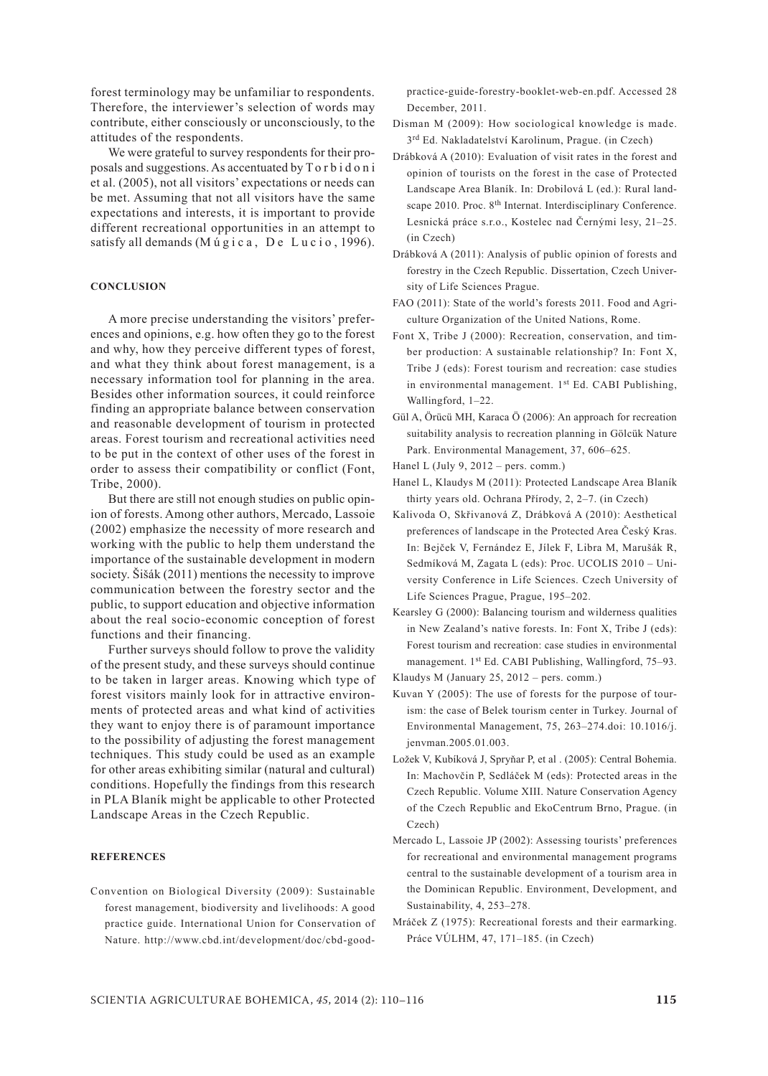forest terminology may be unfamiliar to respondents. Therefore, the interviewer's selection of words may contribute, either consciously or unconsciously, to the attitudes of the respondents.

We were grateful to survey respondents for their proposals and suggestions. As accentuated by T o r b i d o n i et al. (2005), not all visitors' expectations or needs can be met. Assuming that not all visitors have the same expectations and interests, it is important to provide different recreational opportunities in an attempt to satisfy all demands (M  $\acute{u}$  g i c a, D e L u c i o , 1996).

### **CONCLUSION**

A more precise understanding the visitors' preferences and opinions, e.g. how often they go to the forest and why, how they perceive different types of forest, and what they think about forest management, is a necessary information tool for planning in the area. Besides other information sources, it could reinforce finding an appropriate balance between conservation and reasonable development of tourism in protected areas. Forest tourism and recreational activities need to be put in the context of other uses of the forest in order to assess their compatibility or conflict (Font, Tribe, 2000).

But there are still not enough studies on public opinion of forests. Among other authors, Mercado, Lassoie (2002) emphasize the necessity of more research and working with the public to help them understand the importance of the sustainable development in modern society. Šišák (2011) mentions the necessity to improve communication between the forestry sector and the public, to support education and objective information about the real socio-economic conception of forest functions and their financing.

Further surveys should follow to prove the validity of the present study, and these surveys should continue to be taken in larger areas. Knowing which type of forest visitors mainly look for in attractive environments of protected areas and what kind of activities they want to enjoy there is of paramount importance to the possibility of adjusting the forest management techniques. This study could be used as an example for other areas exhibiting similar (natural and cultural) conditions. Hopefully the findings from this research in PLA Blaník might be applicable to other Protected Landscape Areas in the Czech Republic.

# **REFERENCES**

Convention on Biological Diversity (2009): Sustainable forest management, biodiversity and livelihoods: A good practice guide. International Union for Conservation of Nature. http://www.cbd.int/development/doc/cbd-goodpractice-guide-forestry-booklet-web-en.pdf. Accessed 28 December, 2011.

- Disman M (2009): How sociological knowledge is made. 3rd Ed. Nakladatelství Karolinum, Prague. (in Czech)
- Drábková A (2010): Evaluation of visit rates in the forest and opinion of tourists on the forest in the case of Protected Landscape Area Blaník. In: Drobilová L (ed.): Rural landscape 2010. Proc. 8<sup>th</sup> Internat. Interdisciplinary Conference. Lesnická práce s.r.o., Kostelec nad Černými lesy, 21–25. (in Czech)
- Drábková A (2011): Analysis of public opinion of forests and forestry in the Czech Republic. Dissertation, Czech University of Life Sciences Prague.
- FAO (2011): State of the world's forests 2011. Food and Agriculture Organization of the United Nations, Rome.
- Font X, Tribe J (2000): Recreation, conservation, and timber production: A sustainable relationship? In: Font X, Tribe J (eds): Forest tourism and recreation: case studies in environmental management.  $1<sup>st</sup> Ed$ . CABI Publishing, Wallingford, 1–22.
- Gül A, Örücü MH, Karaca Ö (2006): An approach for recreation suitability analysis to recreation planning in Gölcük Nature Park. Environmental Management, 37, 606–625.
- Hanel L (July 9,  $2012$  pers. comm.)
- Hanel L, Klaudys M (2011): Protected Landscape Area Blaník thirty years old. Ochrana Přírody, 2, 2–7. (in Czech)
- Kalivoda O, Skřivanová Z, Drábková A (2010): Aesthetical preferences of landscape in the Protected Area Český Kras. In: Bejček V, Fernández E, Jílek F, Libra M, Marušák R, Sedmíková M, Zagata L (eds): Proc. UCOLIS 2010 – University Conference in Life Sciences. Czech University of Life Sciences Prague, Prague, 195–202.
- Kearsley G (2000): Balancing tourism and wilderness qualities in New Zealand's native forests. In: Font X, Tribe J (eds): Forest tourism and recreation: case studies in environmental management. 1st Ed. CABI Publishing, Wallingford, 75–93.

Klaudys M (January 25, 2012 – pers. comm.)

- Kuvan Y (2005): The use of forests for the purpose of tourism: the case of Belek tourism center in Turkey. Journal of Environmental Management, 75, 263–274.doi: 10.1016/j. jenvman.2005.01.003.
- Ložek V, Kubíková J, Spryňar P, et al . (2005): Central Bohemia. In: Machovčin P, Sedláček M (eds): Protected areas in the Czech Republic. Volume XIII. Nature Conservation Agency of the Czech Republic and EkoCentrum Brno, Prague. (in Czech)
- Mercado L, Lassoie JP (2002): Assessing tourists' preferences for recreational and environmental management programs central to the sustainable development of a tourism area in the Dominican Republic. Environment, Development, and Sustainability, 4, 253–278.
- Mráček Z (1975): Recreational forests and their earmarking. Práce VÚLHM, 47, 171–185. (in Czech)